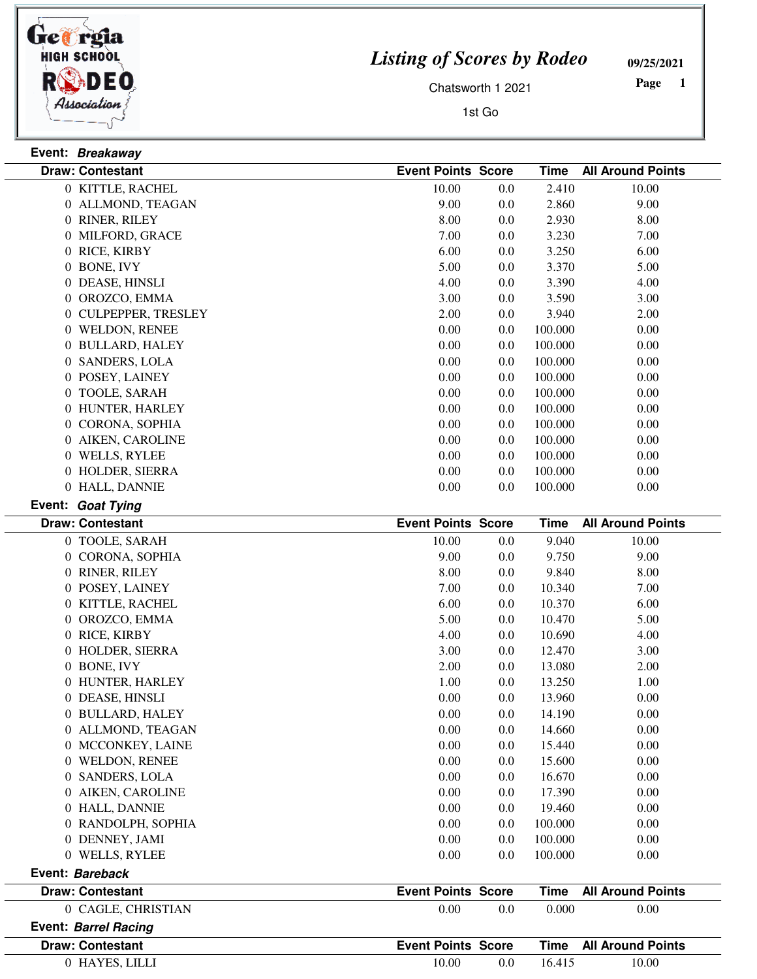

## *Listing of Scores by Rodeo*

**09/25/2021**

Chatsworth 1 2021

1st Go

 **Page** 

| Event: Breakaway |                         |                           |     |             |                          |
|------------------|-------------------------|---------------------------|-----|-------------|--------------------------|
|                  | <b>Draw: Contestant</b> | <b>Event Points Score</b> |     | <b>Time</b> | <b>All Around Points</b> |
|                  | 0 KITTLE, RACHEL        | 10.00                     | 0.0 | 2.410       | 10.00                    |
|                  | 0 ALLMOND, TEAGAN       | 9.00                      | 0.0 | 2.860       | 9.00                     |
|                  | 0 RINER, RILEY          | 8.00                      | 0.0 | 2.930       | 8.00                     |
|                  | 0 MILFORD, GRACE        | 7.00                      | 0.0 | 3.230       | 7.00                     |
|                  | 0 RICE, KIRBY           | 6.00                      | 0.0 | 3.250       | 6.00                     |
|                  | 0 BONE, IVY             | 5.00                      | 0.0 | 3.370       | 5.00                     |
|                  | 0 DEASE, HINSLI         | 4.00                      | 0.0 | 3.390       | 4.00                     |
|                  | 0 OROZCO, EMMA          | 3.00                      | 0.0 | 3.590       | 3.00                     |
|                  | 0 CULPEPPER, TRESLEY    | 2.00                      | 0.0 | 3.940       | 2.00                     |
|                  | 0 WELDON, RENEE         | 0.00                      | 0.0 | 100.000     | 0.00                     |
|                  | 0 BULLARD, HALEY        | 0.00                      | 0.0 | 100.000     | 0.00                     |
|                  | 0 SANDERS, LOLA         | 0.00                      | 0.0 | 100.000     | 0.00                     |
|                  | 0 POSEY, LAINEY         | 0.00                      | 0.0 | 100.000     | 0.00                     |
|                  | 0 TOOLE, SARAH          | 0.00                      | 0.0 | 100.000     | 0.00                     |
|                  | 0 HUNTER, HARLEY        | 0.00                      | 0.0 | 100.000     | 0.00                     |
|                  | 0 CORONA, SOPHIA        | 0.00                      | 0.0 | 100.000     | 0.00                     |
|                  | 0 AIKEN, CAROLINE       | 0.00                      | 0.0 | 100.000     | 0.00                     |
|                  | 0 WELLS, RYLEE          | 0.00                      | 0.0 | 100.000     | 0.00                     |
|                  | 0 HOLDER, SIERRA        | 0.00                      | 0.0 | 100.000     | 0.00                     |
|                  | 0 HALL, DANNIE          | 0.00                      | 0.0 | 100.000     | 0.00                     |
|                  | Event: Goat Tying       |                           |     |             |                          |
|                  |                         |                           |     |             |                          |
|                  | <b>Draw: Contestant</b> | <b>Event Points Score</b> |     | <b>Time</b> | <b>All Around Points</b> |
|                  | 0 TOOLE, SARAH          | 10.00                     | 0.0 | 9.040       | 10.00                    |
|                  | 0 CORONA, SOPHIA        | 9.00                      | 0.0 | 9.750       | 9.00                     |
|                  | 0 RINER, RILEY          | 8.00                      | 0.0 | 9.840       | 8.00                     |
|                  | 0 POSEY, LAINEY         | 7.00                      | 0.0 | 10.340      | 7.00                     |
|                  | 0 KITTLE, RACHEL        | 6.00                      | 0.0 | 10.370      | 6.00                     |
|                  | 0 OROZCO, EMMA          | 5.00                      | 0.0 | 10.470      | 5.00                     |
|                  | 0 RICE, KIRBY           | 4.00                      | 0.0 | 10.690      | 4.00                     |
|                  | 0 HOLDER, SIERRA        | 3.00                      | 0.0 | 12.470      | 3.00                     |
|                  | 0 BONE, IVY             | 2.00                      | 0.0 | 13.080      | 2.00                     |
|                  | 0 HUNTER, HARLEY        | 1.00                      | 0.0 | 13.250      | 1.00                     |
|                  | 0 DEASE, HINSLI         | 0.00                      | 0.0 | 13.960      | 0.00                     |
|                  | 0 BULLARD, HALEY        | 0.00                      | 0.0 | 14.190      | 0.00                     |
|                  | 0 ALLMOND, TEAGAN       | 0.00                      | 0.0 | 14.660      | 0.00                     |
|                  | 0 MCCONKEY, LAINE       | 0.00                      | 0.0 | 15.440      | 0.00                     |
|                  | 0 WELDON, RENEE         | 0.00                      | 0.0 | 15.600      | 0.00                     |
|                  | 0 SANDERS, LOLA         | $0.00\,$                  | 0.0 | 16.670      | 0.00                     |
|                  | 0 AIKEN, CAROLINE       | 0.00                      | 0.0 | 17.390      | 0.00                     |
|                  | 0 HALL, DANNIE          | 0.00                      | 0.0 | 19.460      | 0.00                     |
|                  | 0 RANDOLPH, SOPHIA      | 0.00                      | 0.0 | 100.000     | 0.00                     |
|                  | 0 DENNEY, JAMI          | 0.00                      | 0.0 | 100.000     | 0.00                     |

|       |               | Time                                                   | <b>All Around Points</b> |
|-------|---------------|--------------------------------------------------------|--------------------------|
| 0.00  | 0.0           | 0.000                                                  | 0.00                     |
|       |               |                                                        |                          |
|       |               | Time                                                   | All Around Points        |
| 10.00 | $0.0^{\circ}$ | 16.415                                                 | 10.00                    |
|       |               | <b>Event Points Score</b><br><b>Event Points Score</b> |                          |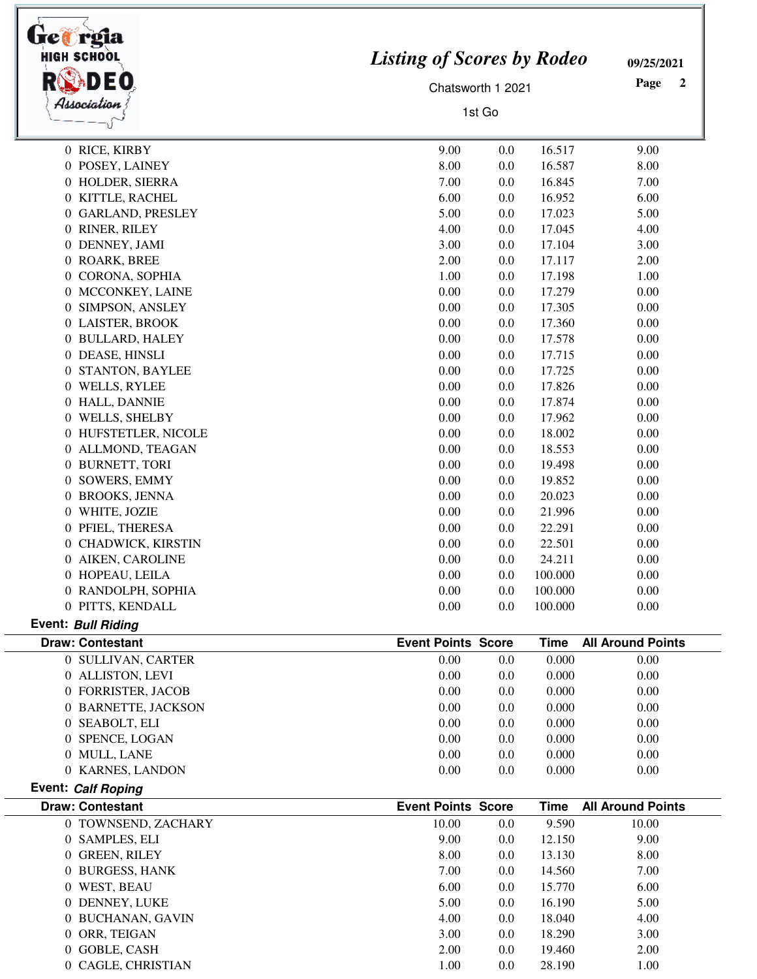| Ge@rgia<br><b>HIGH SCHOOL</b>     | <b>Listing of Scores by Rodeo</b>        | 09/25/2021               |
|-----------------------------------|------------------------------------------|--------------------------|
|                                   | Chatsworth 1 2021                        | Page<br>2                |
| Association                       |                                          |                          |
|                                   | 1st Go                                   |                          |
| 0 RICE, KIRBY                     | 16.517<br>9.00<br>0.0                    | 9.00                     |
| 0 POSEY, LAINEY                   | 8.00<br>0.0<br>16.587                    | 8.00                     |
| 0 HOLDER, SIERRA                  | 7.00<br>16.845<br>0.0                    | 7.00                     |
| 0 KITTLE, RACHEL                  | 6.00<br>16.952<br>0.0                    | 6.00                     |
| 0 GARLAND, PRESLEY                | 5.00<br>17.023<br>0.0                    | 5.00                     |
| 0 RINER, RILEY                    | 4.00<br>17.045<br>0.0                    | 4.00                     |
| 0 DENNEY, JAMI                    | 3.00<br>17.104<br>0.0                    | 3.00                     |
| 0 ROARK, BREE                     | 2.00<br>17.117<br>0.0                    | 2.00                     |
| 0 CORONA, SOPHIA                  | 17.198<br>1.00<br>0.0                    | 1.00                     |
| 0 MCCONKEY, LAINE                 | 0.00<br>0.0<br>17.279                    | 0.00                     |
| SIMPSON, ANSLEY<br>$\overline{0}$ | 0.00<br>0.0<br>17.305                    | 0.00                     |
| 0 LAISTER, BROOK                  | 0.00<br>0.0<br>17.360                    | 0.00                     |
| 0 BULLARD, HALEY                  | 0.00<br>0.0<br>17.578                    | 0.00                     |
| 0 DEASE, HINSLI                   | 0.00<br>17.715<br>0.0                    | 0.00                     |
| 0 STANTON, BAYLEE                 | 0.00<br>0.0<br>17.725                    | 0.00                     |
| 0 WELLS, RYLEE                    | 0.00<br>17.826<br>0.0                    | 0.00                     |
| 0 HALL, DANNIE                    | 0.00<br>17.874<br>0.0                    | 0.00                     |
| 0 WELLS, SHELBY                   | 0.00<br>17.962<br>0.0                    | 0.00                     |
| 0 HUFSTETLER, NICOLE              | 0.00<br>18.002<br>0.0                    | 0.00                     |
| 0 ALLMOND, TEAGAN                 | 0.00<br>18.553<br>0.0                    | 0.00                     |
| 0 BURNETT, TORI                   | 0.00<br>0.0<br>19.498                    | 0.00                     |
| 0 SOWERS, EMMY                    | 0.00<br>19.852<br>0.0                    | 0.00                     |
| <b>BROOKS, JENNA</b><br>0         | 0.00<br>20.023<br>0.0                    | 0.00                     |
| 0 WHITE, JOZIE                    | 0.00<br>21.996<br>0.0                    | 0.00                     |
| 0 PFIEL, THERESA                  | 0.00<br>0.0<br>22.291                    | 0.00                     |
| 0 CHADWICK, KIRSTIN               | 0.00<br>0.0<br>22.501                    | 0.00                     |
| 0 AIKEN, CAROLINE                 | 0.00<br>24.211                           | 0.00                     |
| 0 HOPEAU, LEILA                   | 0.0<br>0.00<br>100.000<br>0.0            | 0.00                     |
| 0 RANDOLPH, SOPHIA                | 0.00<br>100.000<br>0.0                   | 0.00                     |
| 0 PITTS, KENDALL                  | 0.00<br>0.0<br>100.000                   | 0.00                     |
| <b>Event: Bull Riding</b>         |                                          |                          |
| <b>Draw: Contestant</b>           | <b>Event Points Score</b><br><b>Time</b> | <b>All Around Points</b> |
| 0 SULLIVAN, CARTER                | 0.00<br>0.000<br>0.0                     | 0.00                     |
| 0 ALLISTON, LEVI                  | 0.00<br>0.000<br>0.0                     | 0.00                     |
| 0 FORRISTER, JACOB                | 0.00<br>0.000<br>0.0                     | 0.00                     |
| 0 BARNETTE, JACKSON               | 0.00<br>0.000<br>0.0                     | 0.00                     |
| 0 SEABOLT, ELI                    | 0.00<br>0.000<br>0.0                     | 0.00                     |
| 0 SPENCE, LOGAN                   | 0.00<br>0.000<br>0.0                     | 0.00                     |
| 0 MULL, LANE                      | 0.00<br>0.0<br>0.000                     | 0.00                     |
| 0 KARNES, LANDON                  | 0.00<br>0.000<br>0.0                     | 0.00                     |
| Event: Calf Roping                |                                          |                          |
| <b>Draw: Contestant</b>           | <b>Event Points Score</b><br><b>Time</b> | <b>All Around Points</b> |
| 0 TOWNSEND, ZACHARY               | 10.00<br>9.590<br>0.0                    | 10.00                    |
| 0 SAMPLES, ELI                    | 9.00<br>12.150<br>0.0                    | 9.00                     |
| 0 GREEN, RILEY                    | 8.00<br>13.130<br>0.0                    | 8.00                     |
| 0 BURGESS, HANK                   | 7.00<br>0.0<br>14.560                    | 7.00                     |
| 0 WEST, BEAU                      | 6.00<br>0.0<br>15.770                    | 6.00                     |
| 0 DENNEY, LUKE                    | 5.00<br>0.0<br>16.190                    | 5.00                     |
| 0 BUCHANAN, GAVIN                 | 4.00<br>18.040<br>0.0                    | 4.00                     |
| ORR, TEIGAN<br>$\overline{0}$     | 3.00<br>18.290<br>0.0                    | 3.00                     |
| 0 GOBLE, CASH                     | 2.00<br>19.460<br>0.0                    | 2.00                     |
| 0 CAGLE, CHRISTIAN                | 1.00<br>0.0<br>28.190                    | 1.00                     |
|                                   |                                          |                          |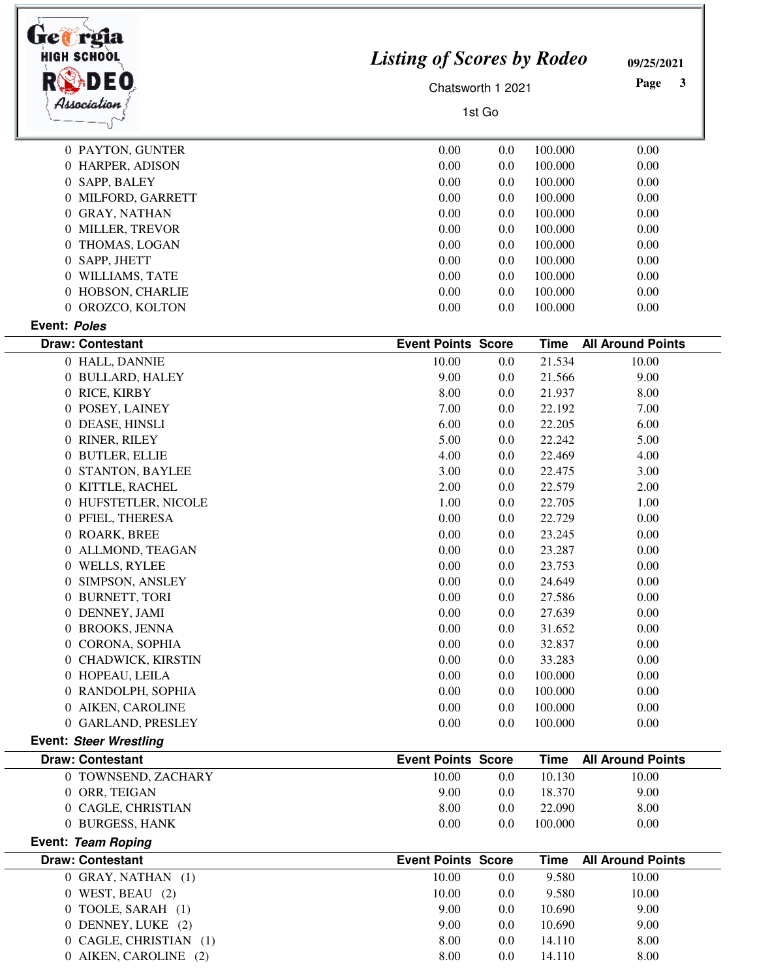| tre#rgia<br>HIGH SCHOOL<br>DEO        | <b>Listing of Scores by Rodeo</b><br>Chatsworth 1 2021<br>1st Go |            |                   | 09/25/2021<br>Page<br>3  |
|---------------------------------------|------------------------------------------------------------------|------------|-------------------|--------------------------|
| Association                           |                                                                  |            |                   |                          |
| 0 PAYTON, GUNTER                      | 0.00                                                             | 0.0        | 100.000           | 0.00                     |
| 0 HARPER, ADISON                      | 0.00                                                             | 0.0        | 100.000           | 0.00                     |
| 0 SAPP, BALEY                         | 0.00                                                             | 0.0        | 100.000           | 0.00                     |
| 0 MILFORD, GARRETT                    | 0.00                                                             | 0.0        | 100.000           | 0.00                     |
| 0 GRAY, NATHAN                        | 0.00                                                             | 0.0        | 100.000           | 0.00                     |
| 0 MILLER, TREVOR                      | 0.00                                                             | 0.0        | 100.000           | 0.00                     |
| 0 THOMAS, LOGAN                       | 0.00                                                             | 0.0        | 100.000           | 0.00                     |
| 0 SAPP, JHETT                         | 0.00                                                             | 0.0        | 100.000           | 0.00                     |
| 0 WILLIAMS, TATE                      | 0.00                                                             | 0.0        | 100.000           | 0.00                     |
| 0 HOBSON, CHARLIE                     | 0.00                                                             | 0.0        | 100.000           | 0.00                     |
| 0 OROZCO, KOLTON                      | 0.00                                                             | 0.0        | 100.000           | 0.00                     |
| Event: Poles                          |                                                                  |            |                   |                          |
| <b>Draw: Contestant</b>               | <b>Event Points Score</b>                                        |            | <b>Time</b>       | <b>All Around Points</b> |
| 0 HALL, DANNIE                        | 10.00                                                            | 0.0        | 21.534            | 10.00                    |
| 0 BULLARD, HALEY<br>0 RICE, KIRBY     | 9.00<br>8.00                                                     | 0.0        | 21.566            | 9.00                     |
| 0 POSEY, LAINEY                       | 7.00                                                             | 0.0        | 21.937            | 8.00                     |
| 0 DEASE, HINSLI                       | 6.00                                                             | 0.0<br>0.0 | 22.192<br>22.205  | 7.00<br>6.00             |
| 0 RINER, RILEY                        | 5.00                                                             | 0.0        | 22.242            | 5.00                     |
| 0 BUTLER, ELLIE                       | 4.00                                                             | 0.0        | 22.469            | 4.00                     |
| 0 STANTON, BAYLEE                     | 3.00                                                             | 0.0        | 22.475            | 3.00                     |
| 0 KITTLE, RACHEL                      | 2.00                                                             | 0.0        | 22.579            | 2.00                     |
| 0 HUFSTETLER, NICOLE                  | 1.00                                                             | 0.0        | 22.705            | 1.00                     |
| 0 PFIEL, THERESA                      | 0.00                                                             | 0.0        | 22.729            | 0.00                     |
| 0 ROARK, BREE                         | 0.00                                                             | 0.0        | 23.245            | 0.00                     |
| 0 ALLMOND, TEAGAN                     | 0.00                                                             | 0.0        | 23.287            | 0.00                     |
| 0 WELLS, RYLEE                        | 0.00                                                             | 0.0        | 23.753            | 0.00                     |
| 0 SIMPSON, ANSLEY                     | 0.00                                                             | 0.0        | 24.649            | 0.00                     |
| 0 BURNETT, TORI                       | 0.00                                                             | 0.0        | 27.586            | 0.00                     |
| 0 DENNEY, JAMI                        | 0.00                                                             | 0.0        | 27.639            | 0.00                     |
| 0 BROOKS, JENNA                       | 0.00                                                             | 0.0        | 31.652            | 0.00                     |
| 0 CORONA, SOPHIA                      | 0.00                                                             | 0.0        | 32.837            | 0.00                     |
| 0 CHADWICK, KIRSTIN                   | 0.00                                                             | 0.0        | 33.283            | 0.00                     |
| 0 HOPEAU, LEILA                       | 0.00                                                             | 0.0        | 100.000           | 0.00                     |
| 0 RANDOLPH, SOPHIA                    | 0.00                                                             | 0.0        | 100.000           | 0.00                     |
| 0 AIKEN, CAROLINE                     | 0.00                                                             | 0.0        | 100.000           | 0.00                     |
| 0 GARLAND, PRESLEY                    | 0.00                                                             | 0.0        | 100.000           | 0.00                     |
| <b>Event: Steer Wrestling</b>         |                                                                  |            |                   |                          |
| <b>Draw: Contestant</b>               | <b>Event Points Score</b>                                        |            | <b>Time</b>       | <b>All Around Points</b> |
| 0 TOWNSEND, ZACHARY                   | 10.00                                                            | 0.0        | 10.130            | 10.00                    |
| 0 ORR, TEIGAN                         | 9.00                                                             | 0.0        | 18.370            | 9.00                     |
| 0 CAGLE, CHRISTIAN<br>0 BURGESS, HANK | 8.00<br>0.00                                                     | 0.0<br>0.0 | 22.090<br>100.000 | 8.00<br>0.00             |
| Event: Team Roping                    |                                                                  |            |                   |                          |
| <b>Draw: Contestant</b>               | <b>Event Points Score</b>                                        |            | <b>Time</b>       | <b>All Around Points</b> |
| 0 GRAY, NATHAN (1)                    | 10.00                                                            | 0.0        | 9.580             | 10.00                    |
| 0 WEST, BEAU (2)                      | 10.00                                                            | 0.0        | 9.580             | 10.00                    |
| 0 TOOLE, SARAH (1)                    | 9.00                                                             | 0.0        | 10.690            | 9.00                     |
| 0 DENNEY, LUKE (2)                    | 9.00                                                             | 0.0        | 10.690            | 9.00                     |
| 0 CAGLE, CHRISTIAN (1)                | 8.00                                                             | 0.0        | 14.110            | 8.00                     |
| 0 AIKEN, CAROLINE (2)                 | 8.00                                                             | 0.0        | 14.110            | 8.00                     |

ī